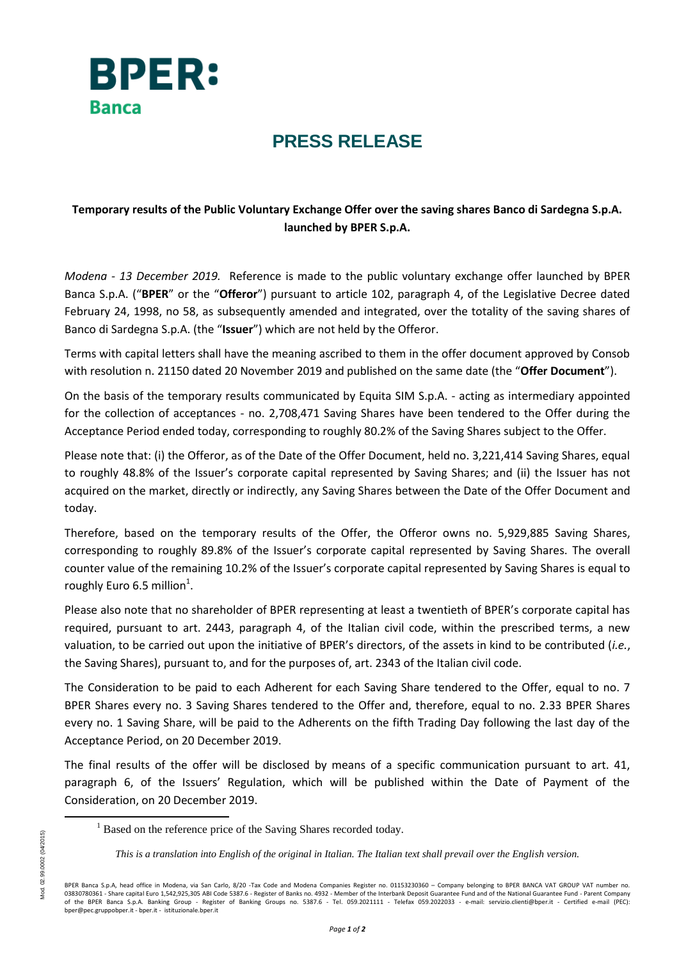

## **PRESS RELEASE**

## **Temporary results of the Public Voluntary Exchange Offer over the saving shares Banco di Sardegna S.p.A. launched by BPER S.p.A.**

*Modena - 13 December 2019.* Reference is made to the public voluntary exchange offer launched by BPER Banca S.p.A. ("**BPER**" or the "**Offeror**") pursuant to article 102, paragraph 4, of the Legislative Decree dated February 24, 1998, no 58, as subsequently amended and integrated, over the totality of the saving shares of Banco di Sardegna S.p.A. (the "**Issuer**") which are not held by the Offeror.

Terms with capital letters shall have the meaning ascribed to them in the offer document approved by Consob with resolution n. 21150 dated 20 November 2019 and published on the same date (the "**Offer Document**").

On the basis of the temporary results communicated by Equita SIM S.p.A. - acting as intermediary appointed for the collection of acceptances - no. 2,708,471 Saving Shares have been tendered to the Offer during the Acceptance Period ended today, corresponding to roughly 80.2% of the Saving Shares subject to the Offer.

Please note that: (i) the Offeror, as of the Date of the Offer Document, held no. 3,221,414 Saving Shares, equal to roughly 48.8% of the Issuer's corporate capital represented by Saving Shares; and (ii) the Issuer has not acquired on the market, directly or indirectly, any Saving Shares between the Date of the Offer Document and today.

Therefore, based on the temporary results of the Offer, the Offeror owns no. 5,929,885 Saving Shares, corresponding to roughly 89.8% of the Issuer's corporate capital represented by Saving Shares. The overall counter value of the remaining 10.2% of the Issuer's corporate capital represented by Saving Shares is equal to roughly Euro 6.5 million<sup>1</sup>.

Please also note that no shareholder of BPER representing at least a twentieth of BPER's corporate capital has required, pursuant to art. 2443, paragraph 4, of the Italian civil code, within the prescribed terms, a new valuation, to be carried out upon the initiative of BPER's directors, of the assets in kind to be contributed (*i.e.*, the Saving Shares), pursuant to, and for the purposes of, art. 2343 of the Italian civil code.

The Consideration to be paid to each Adherent for each Saving Share tendered to the Offer, equal to no. 7 BPER Shares every no. 3 Saving Shares tendered to the Offer and, therefore, equal to no. 2.33 BPER Shares every no. 1 Saving Share, will be paid to the Adherents on the fifth Trading Day following the last day of the Acceptance Period, on 20 December 2019.

The final results of the offer will be disclosed by means of a specific communication pursuant to art. 41, paragraph 6, of the Issuers' Regulation, which will be published within the Date of Payment of the Consideration, on 20 December 2019.

**.** 

<sup>&</sup>lt;sup>1</sup> Based on the reference price of the Saving Shares recorded today.

*This is a translation into English of the original in Italian. The Italian text shall prevail over the English version.*

BPER Banca S.p.A, head office in Modena, via San Carlo, 8/20 -Tax Code and Modena Companies Register no. 01153230360 – Company belonging to BPER BANCA VAT GROUP VAT number no. 03830780361 - Share capital Euro 1,542,925,305 ABI Code 5387.6 - Register of Banks no. 4932 - Member of the Interbank Deposit Guarantee Fund and of the National Guarantee Fund - Parent Company of the BPER Banca S.p.A. Banking Group - Register of Banking Groups no. 5387.6 - Tel. 059.2021111 - Telefax 059.2022033 - e-mail: servizio.clienti@bper.it - Certified e-mail (PEC):<br>bper@pec.gruppobper.it-bper.it- istituzio